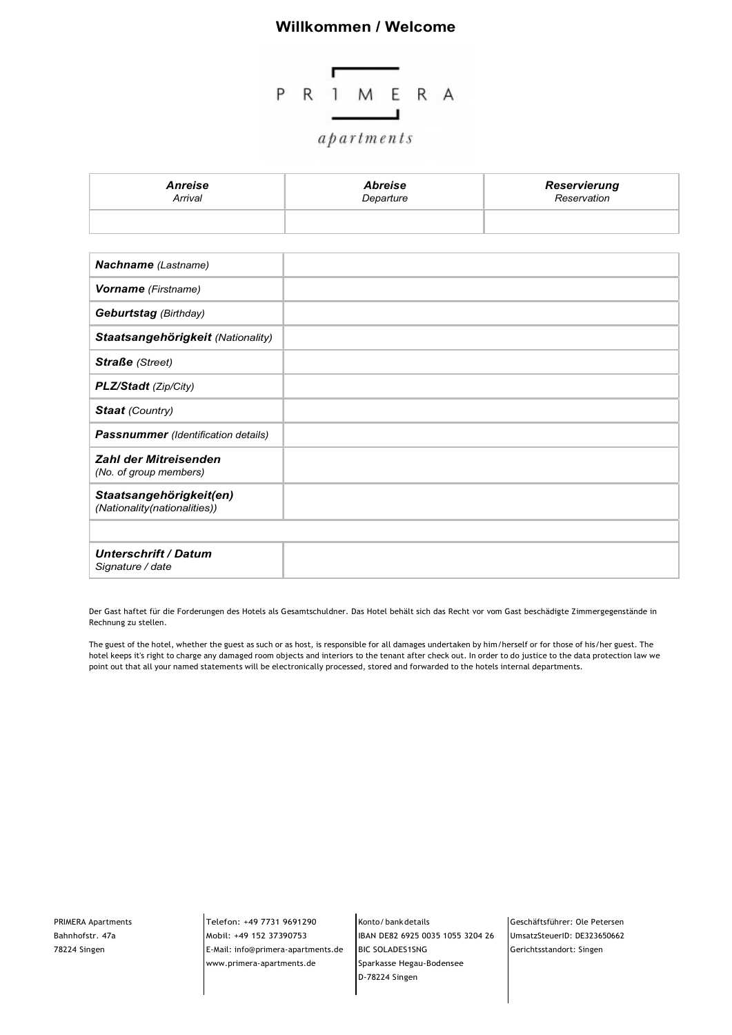## Willkommen / Welcome



| Anreise | <b>Abreise</b> | Reservierung |
|---------|----------------|--------------|
| Arrival | Departure      | Reservation  |
|         |                |              |

| Nachname (Lastname)                                     |  |
|---------------------------------------------------------|--|
| Vorname (Firstname)                                     |  |
| <b>Geburtstag</b> (Birthday)                            |  |
| Staatsangehörigkeit (Nationality)                       |  |
| <b>Straße</b> (Street)                                  |  |
| PLZ/Stadt (Zip/City)                                    |  |
| <b>Staat</b> (Country)                                  |  |
| <b>Passnummer</b> (Identification details)              |  |
| <b>Zahl der Mitreisenden</b><br>(No. of group members)  |  |
| Staatsangehörigkeit(en)<br>(Nationality(nationalities)) |  |
|                                                         |  |
| <b>Unterschrift / Datum</b><br>Signature / date         |  |

Der Gast haftet für die Forderungen des Hotels als Gesamtschuldner. Das Hotel behält sich das Recht vor vom Gast beschädigte Zimmergegenstände in Rechnung zu stellen.

The guest of the hotel, whether the guest as such or as host, is responsible for all damages undertaken by him/herself or for those of his/her guest. The hotel keeps it's right to charge any damaged room objects and interiors to the tenant after check out. In order to do justice to the data protection law we point out that all your named statements will be electronically processed, stored and forwarded to the hotels internal departments.

PRIMERA Apartments

Bahnhofstr. 47a **Mobil: +49 152 37390753** 78224 Singen E-Mail: info@primera-apartments.de Telefon: +49 7731 9691290 Konto/bank details www.primera-apartments.de

Mobil: +49 152 37390753 IBAN DE82 6925 0035 1055 3204 26 Konto/ bank details Geschäftsführer: Ole Petersen BIC SOLADES1SNG Gerichtsstandort: SingenSparkasse Hegau-Bodensee D-78224 Singen

UmsatzSteuerID: DE323650662